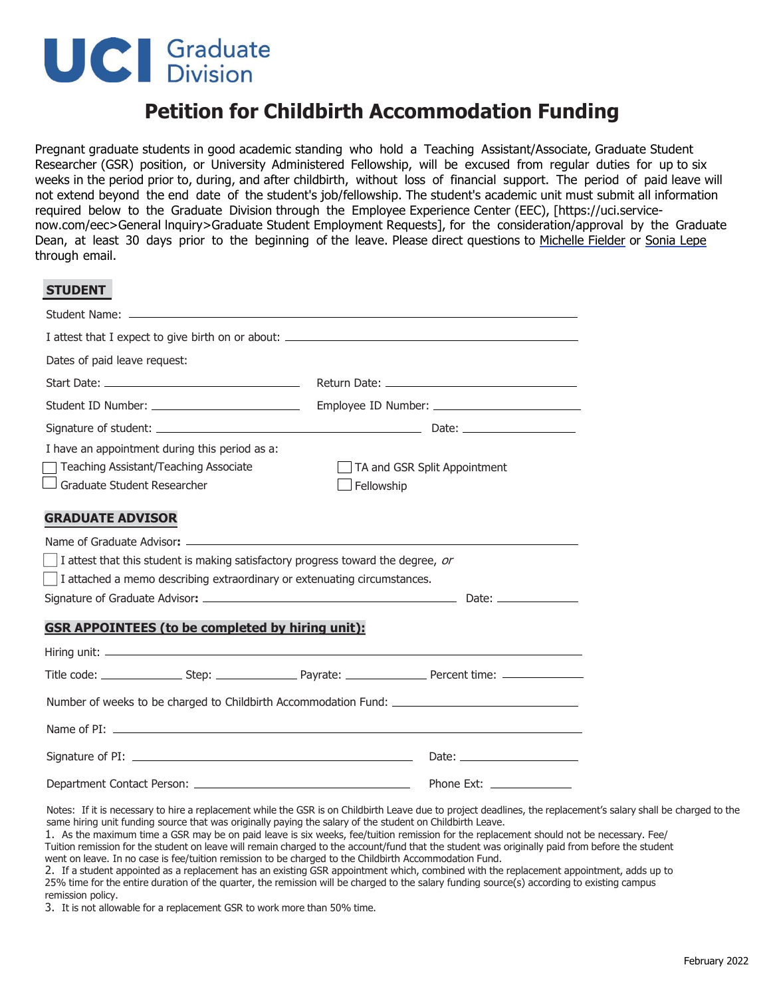## **UC** Graduate

**STUDENT** 

## **Petition for Childbirth Accommodation Funding**

Pregnant graduate students in good academic standing who hold a Teaching Assistant/Associate, Graduate Student Researcher (GSR) position, or University Administered Fellowship, will be excused from regular duties for up to six weeks in the period prior to, during, and after childbirth, without loss of financial support. The period of paid leave will not extend beyond the end date of the student's job/fellowship. The student's academic unit must submit all information required below to the Graduate Division through the Employee Experience Center (EEC), [https://uci.servicenow.com/eec>General lnquiry>Graduate Student Employment Requests], for the consideration/approval by the Graduate Dean, at least 30 days prior to the beginning of the leave. Please direct questions to Michelle Fielder or Sonia Lepe through email.

| JIUDLIII                                                                                            |                              |  |  |  |  |
|-----------------------------------------------------------------------------------------------------|------------------------------|--|--|--|--|
|                                                                                                     |                              |  |  |  |  |
|                                                                                                     |                              |  |  |  |  |
| Dates of paid leave request:                                                                        |                              |  |  |  |  |
|                                                                                                     |                              |  |  |  |  |
|                                                                                                     |                              |  |  |  |  |
|                                                                                                     |                              |  |  |  |  |
| I have an appointment during this period as a:                                                      |                              |  |  |  |  |
| Teaching Assistant/Teaching Associate                                                               | TA and GSR Split Appointment |  |  |  |  |
| Graduate Student Researcher                                                                         | $\Box$ Fellowship            |  |  |  |  |
|                                                                                                     |                              |  |  |  |  |
| <b>GRADUATE ADVISOR</b>                                                                             |                              |  |  |  |  |
|                                                                                                     |                              |  |  |  |  |
| I attest that this student is making satisfactory progress toward the degree, or                    |                              |  |  |  |  |
| I attached a memo describing extraordinary or extenuating circumstances.                            |                              |  |  |  |  |
|                                                                                                     |                              |  |  |  |  |
| <b>GSR APPOINTEES (to be completed by hiring unit):</b>                                             |                              |  |  |  |  |
|                                                                                                     |                              |  |  |  |  |
|                                                                                                     |                              |  |  |  |  |
|                                                                                                     |                              |  |  |  |  |
| Number of weeks to be charged to Childbirth Accommodation Fund: ___________________________________ |                              |  |  |  |  |
|                                                                                                     |                              |  |  |  |  |
|                                                                                                     |                              |  |  |  |  |
|                                                                                                     |                              |  |  |  |  |

Notes: If it is necessary to hire a replacement while the GSR is on Childbirth Leave due to project deadlines, the replacement's salary shall be charged to the same hiring unit funding source that was originally paying the salary of the student on Childbirth Leave.

1. As the maximum time a GSR may be on paid leave is six weeks, fee/tuition remission for the replacement should not be necessary. Fee/ Tuition remission for the student on leave will remain charged to the account/fund that the student was originally paid from before the student went on leave. In no case is fee/tuition remission to be charged to the Childbirth Accommodation Fund.

2. If a student appointed as a replacement has an existing GSR appointment which, combined with the replacement appointment, adds up to 25% time for the entire duration of the quarter, the remission will be charged to the salary funding source(s) according to existing campus remission policy.

3. It is not allowable for a replacement GSR to work more than 50% time.